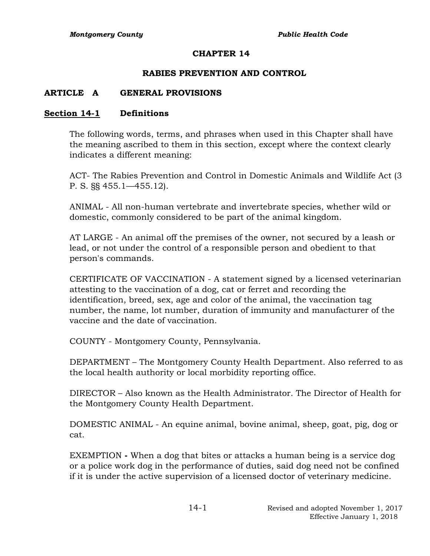## **CHAPTER 14**

## **RABIES PREVENTION AND CONTROL**

## **ARTICLE A GENERAL PROVISIONS**

## **Section 14-1 Definitions**

The following words, terms, and phrases when used in this Chapter shall have the meaning ascribed to them in this section, except where the context clearly indicates a different meaning:

ACT- The Rabies Prevention and Control in Domestic Animals and Wildlife Act (3 P. S. §§ 455.1—455.12).

ANIMAL - All non-human vertebrate and invertebrate species, whether wild or domestic, commonly considered to be part of the animal kingdom.

AT LARGE - An animal off the premises of the owner, not secured by a leash or lead, or not under the control of a responsible person and obedient to that person's commands.

CERTIFICATE OF VACCINATION - A statement signed by a licensed veterinarian attesting to the vaccination of a dog, cat or ferret and recording the identification, breed, sex, age and color of the animal, the vaccination tag number, the name, lot number, duration of immunity and manufacturer of the vaccine and the date of vaccination.

COUNTY - Montgomery County, Pennsylvania.

DEPARTMENT – The Montgomery County Health Department. Also referred to as the local health authority or local morbidity reporting office.

DIRECTOR – Also known as the Health Administrator. The Director of Health for the Montgomery County Health Department.

DOMESTIC ANIMAL - An equine animal, bovine animal, sheep, goat, pig, dog or cat.

EXEMPTION **-** When a dog that bites or attacks a human being is a service dog or a police work dog in the performance of duties, said dog need not be confined if it is under the active supervision of a licensed doctor of veterinary medicine.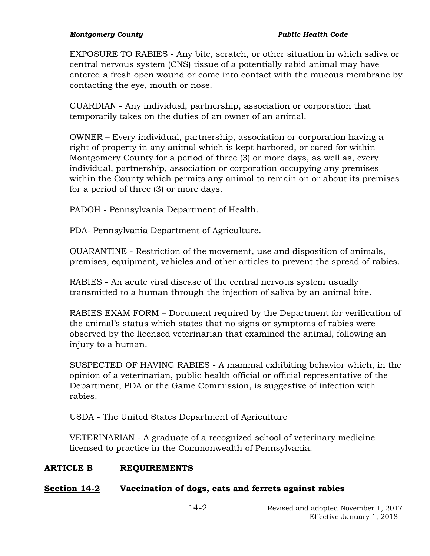#### *Montgomery County Public Health Code*

EXPOSURE TO RABIES - Any bite, scratch, or other situation in which saliva or central nervous system (CNS) tissue of a potentially rabid animal may have entered a fresh open wound or come into contact with the mucous membrane by contacting the eye, mouth or nose.

GUARDIAN - Any individual, partnership, association or corporation that temporarily takes on the duties of an owner of an animal.

OWNER – Every individual, partnership, association or corporation having a right of property in any animal which is kept harbored, or cared for within Montgomery County for a period of three (3) or more days, as well as, every individual, partnership, association or corporation occupying any premises within the County which permits any animal to remain on or about its premises for a period of three (3) or more days.

PADOH - Pennsylvania Department of Health.

PDA- Pennsylvania Department of Agriculture.

QUARANTINE - Restriction of the movement, use and disposition of animals, premises, equipment, vehicles and other articles to prevent the spread of rabies.

RABIES - An acute viral disease of the central nervous system usually transmitted to a human through the injection of saliva by an animal bite.

RABIES EXAM FORM – Document required by the Department for verification of the animal's status which states that no signs or symptoms of rabies were observed by the licensed veterinarian that examined the animal, following an injury to a human.

SUSPECTED OF HAVING RABIES - A mammal exhibiting behavior which, in the opinion of a veterinarian, public health official or official representative of the Department, PDA or the Game Commission, is suggestive of infection with rabies.

USDA - The United States Department of Agriculture

VETERINARIAN - A graduate of a recognized school of veterinary medicine licensed to practice in the Commonwealth of Pennsylvania.

# **ARTICLE B REQUIREMENTS**

# **Section 14-2 Vaccination of dogs, cats and ferrets against rabies**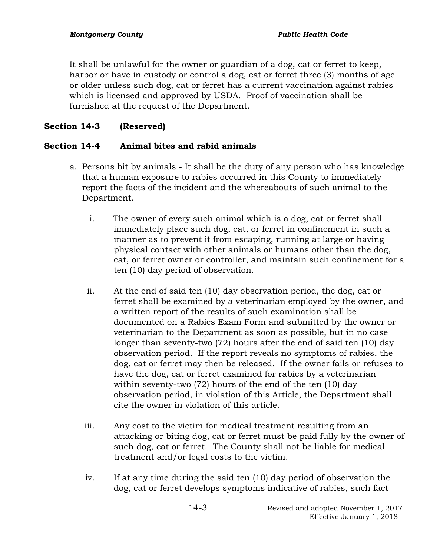It shall be unlawful for the owner or guardian of a dog, cat or ferret to keep, harbor or have in custody or control a dog, cat or ferret three (3) months of age or older unless such dog, cat or ferret has a current vaccination against rabies which is licensed and approved by USDA. Proof of vaccination shall be furnished at the request of the Department.

# **Section 14-3 (Reserved)**

# **Section 14-4 Animal bites and rabid animals**

- a. Persons bit by animals It shall be the duty of any person who has knowledge that a human exposure to rabies occurred in this County to immediately report the facts of the incident and the whereabouts of such animal to the Department.
	- i. The owner of every such animal which is a dog, cat or ferret shall immediately place such dog, cat, or ferret in confinement in such a manner as to prevent it from escaping, running at large or having physical contact with other animals or humans other than the dog, cat, or ferret owner or controller, and maintain such confinement for a ten (10) day period of observation.
	- ii. At the end of said ten (10) day observation period, the dog, cat or ferret shall be examined by a veterinarian employed by the owner, and a written report of the results of such examination shall be documented on a Rabies Exam Form and submitted by the owner or veterinarian to the Department as soon as possible, but in no case longer than seventy-two (72) hours after the end of said ten (10) day observation period. If the report reveals no symptoms of rabies, the dog, cat or ferret may then be released. If the owner fails or refuses to have the dog, cat or ferret examined for rabies by a veterinarian within seventy-two (72) hours of the end of the ten (10) day observation period, in violation of this Article, the Department shall cite the owner in violation of this article.
	- iii. Any cost to the victim for medical treatment resulting from an attacking or biting dog, cat or ferret must be paid fully by the owner of such dog, cat or ferret. The County shall not be liable for medical treatment and/or legal costs to the victim.
	- iv. If at any time during the said ten (10) day period of observation the dog, cat or ferret develops symptoms indicative of rabies, such fact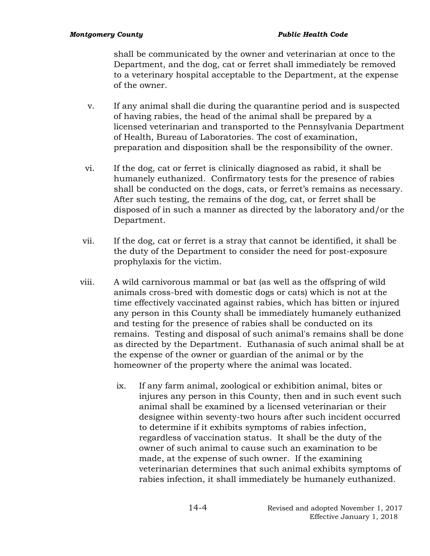shall be communicated by the owner and veterinarian at once to the Department, and the dog, cat or ferret shall immediately be removed to a veterinary hospital acceptable to the Department, at the expense of the owner.

- v. If any animal shall die during the quarantine period and is suspected of having rabies, the head of the animal shall be prepared by a licensed veterinarian and transported to the Pennsylvania Department of Health, Bureau of Laboratories. The cost of examination, preparation and disposition shall be the responsibility of the owner.
- vi. If the dog, cat or ferret is clinically diagnosed as rabid, it shall be humanely euthanized. Confirmatory tests for the presence of rabies shall be conducted on the dogs, cats, or ferret's remains as necessary. After such testing, the remains of the dog, cat, or ferret shall be disposed of in such a manner as directed by the laboratory and/or the Department.
- vii. If the dog, cat or ferret is a stray that cannot be identified, it shall be the duty of the Department to consider the need for post-exposure prophylaxis for the victim.
- viii. A wild carnivorous mammal or bat (as well as the offspring of wild animals cross-bred with domestic dogs or cats) which is not at the time effectively vaccinated against rabies, which has bitten or injured any person in this County shall be immediately humanely euthanized and testing for the presence of rabies shall be conducted on its remains. Testing and disposal of such animal's remains shall be done as directed by the Department. Euthanasia of such animal shall be at the expense of the owner or guardian of the animal or by the homeowner of the property where the animal was located.
	- ix. If any farm animal, zoological or exhibition animal, bites or injures any person in this County, then and in such event such animal shall be examined by a licensed veterinarian or their designee within seventy-two hours after such incident occurred to determine if it exhibits symptoms of rabies infection, regardless of vaccination status. It shall be the duty of the owner of such animal to cause such an examination to be made, at the expense of such owner. If the examining veterinarian determines that such animal exhibits symptoms of rabies infection, it shall immediately be humanely euthanized.